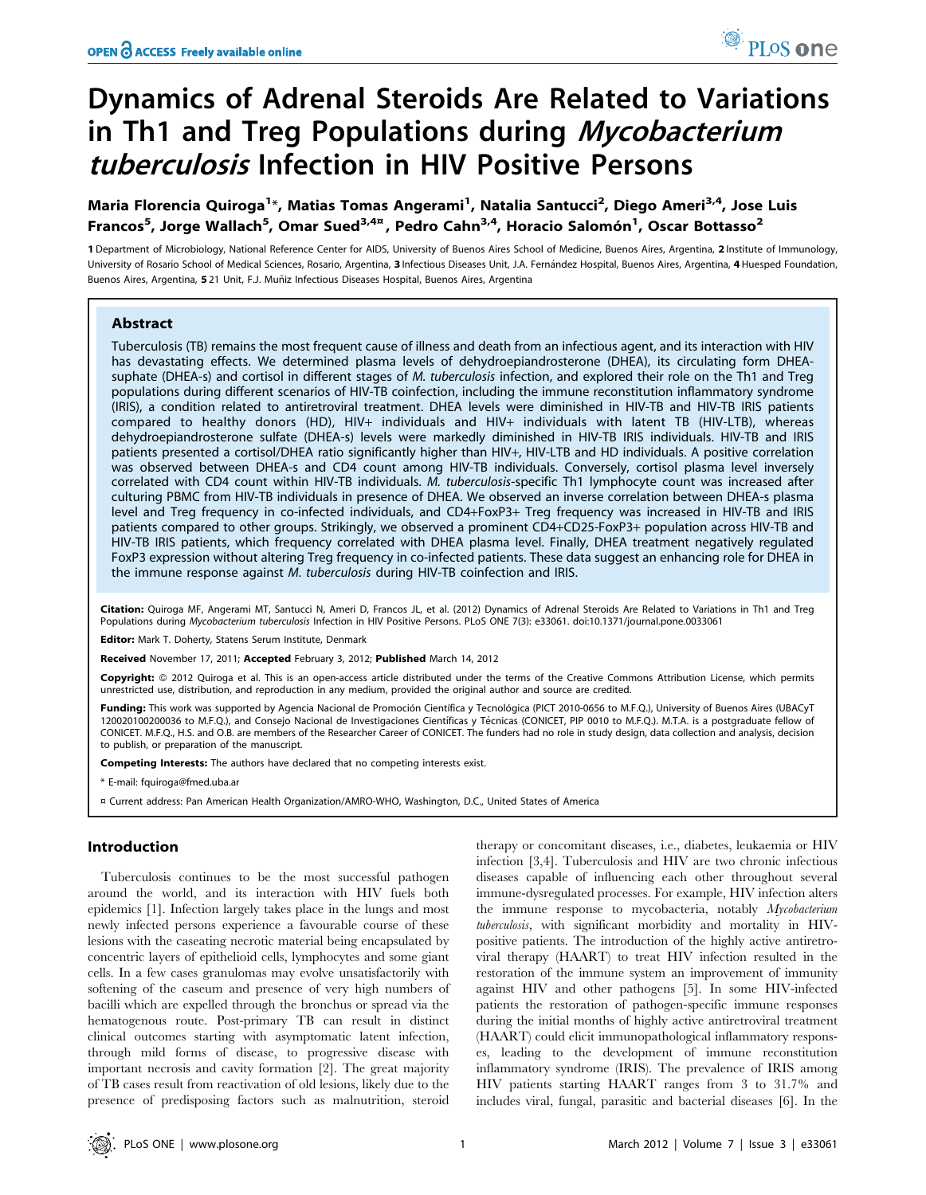# Dynamics of Adrenal Steroids Are Related to Variations in Th1 and Treg Populations during Mycobacterium tuberculosis Infection in HIV Positive Persons

## Maria Florencia Quiroga<sup>1</sup>\*, Matias Tomas Angerami<sup>1</sup>, Natalia Santucci<sup>2</sup>, Diego Ameri<sup>3,4</sup>, Jose Luis Francos<sup>5</sup>, Jorge Wallach<sup>5</sup>, Omar Sued<sup>3,4¤</sup>, Pedro Cahn<sup>3,4</sup>, Horacio Salomón<sup>1</sup>, Oscar Bottasso<sup>2</sup>

1 Department of Microbiology, National Reference Center for AIDS, University of Buenos Aires School of Medicine, Buenos Aires, Argentina, 2 Institute of Immunology, University of Rosario School of Medical Sciences, Rosario, Argentina, 3 Infectious Diseases Unit, J.A. Fernández Hospital, Buenos Aires, Argentina, 4 Huesped Foundation, Buenos Aires, Argentina, 521 Unit, F.J. Muñiz Infectious Diseases Hospital, Buenos Aires, Argentina

## Abstract

Tuberculosis (TB) remains the most frequent cause of illness and death from an infectious agent, and its interaction with HIV has devastating effects. We determined plasma levels of dehydroepiandrosterone (DHEA), its circulating form DHEAsuphate (DHEA-s) and cortisol in different stages of M. tuberculosis infection, and explored their role on the Th1 and Treg populations during different scenarios of HIV-TB coinfection, including the immune reconstitution inflammatory syndrome (IRIS), a condition related to antiretroviral treatment. DHEA levels were diminished in HIV-TB and HIV-TB IRIS patients compared to healthy donors (HD), HIV+ individuals and HIV+ individuals with latent TB (HIV-LTB), whereas dehydroepiandrosterone sulfate (DHEA-s) levels were markedly diminished in HIV-TB IRIS individuals. HIV-TB and IRIS patients presented a cortisol/DHEA ratio significantly higher than HIV+, HIV-LTB and HD individuals. A positive correlation was observed between DHEA-s and CD4 count among HIV-TB individuals. Conversely, cortisol plasma level inversely correlated with CD4 count within HIV-TB individuals. M. tuberculosis-specific Th1 lymphocyte count was increased after culturing PBMC from HIV-TB individuals in presence of DHEA. We observed an inverse correlation between DHEA-s plasma level and Treg frequency in co-infected individuals, and CD4+FoxP3+ Treg frequency was increased in HIV-TB and IRIS patients compared to other groups. Strikingly, we observed a prominent CD4+CD25-FoxP3+ population across HIV-TB and HIV-TB IRIS patients, which frequency correlated with DHEA plasma level. Finally, DHEA treatment negatively regulated FoxP3 expression without altering Treg frequency in co-infected patients. These data suggest an enhancing role for DHEA in the immune response against M. tuberculosis during HIV-TB coinfection and IRIS.

Citation: Quiroga MF, Angerami MT, Santucci N, Ameri D, Francos JL, et al. (2012) Dynamics of Adrenal Steroids Are Related to Variations in Th1 and Treg Populations during Mycobacterium tuberculosis Infection in HIV Positive Persons. PLoS ONE 7(3): e33061. doi:10.1371/journal.pone.0033061

Editor: Mark T. Doherty, Statens Serum Institute, Denmark

Received November 17, 2011; Accepted February 3, 2012; Published March 14, 2012

Copyright: © 2012 Quiroga et al. This is an open-access article distributed under the terms of the Creative Commons Attribution License, which permits unrestricted use, distribution, and reproduction in any medium, provided the original author and source are credited.

Funding: This work was supported by Agencia Nacional de Promoción Científica y Tecnológica (PICT 2010-0656 to M.F.Q.), University of Buenos Aires (UBACyT 120020100200036 to M.F.Q.), and Consejo Nacional de Investigaciones Científicas y Técnicas (CONICET, PIP 0010 to M.F.Q.). M.T.A. is a postgraduate fellow of CONICET. M.F.Q., H.S. and O.B. are members of the Researcher Career of CONICET. The funders had no role in study design, data collection and analysis, decision to publish, or preparation of the manuscript.

Competing Interests: The authors have declared that no competing interests exist.

\* E-mail: fquiroga@fmed.uba.ar

¤ Current address: Pan American Health Organization/AMRO-WHO, Washington, D.C., United States of America

## Introduction

Tuberculosis continues to be the most successful pathogen around the world, and its interaction with HIV fuels both epidemics [1]. Infection largely takes place in the lungs and most newly infected persons experience a favourable course of these lesions with the caseating necrotic material being encapsulated by concentric layers of epithelioid cells, lymphocytes and some giant cells. In a few cases granulomas may evolve unsatisfactorily with softening of the caseum and presence of very high numbers of bacilli which are expelled through the bronchus or spread via the hematogenous route. Post-primary TB can result in distinct clinical outcomes starting with asymptomatic latent infection, through mild forms of disease, to progressive disease with important necrosis and cavity formation [2]. The great majority of TB cases result from reactivation of old lesions, likely due to the presence of predisposing factors such as malnutrition, steroid

therapy or concomitant diseases, i.e., diabetes, leukaemia or HIV infection [3,4]. Tuberculosis and HIV are two chronic infectious diseases capable of influencing each other throughout several immune-dysregulated processes. For example, HIV infection alters the immune response to mycobacteria, notably Mycobacterium tuberculosis, with significant morbidity and mortality in HIVpositive patients. The introduction of the highly active antiretroviral therapy (HAART) to treat HIV infection resulted in the restoration of the immune system an improvement of immunity against HIV and other pathogens [5]. In some HIV-infected patients the restoration of pathogen-specific immune responses during the initial months of highly active antiretroviral treatment (HAART) could elicit immunopathological inflammatory responses, leading to the development of immune reconstitution inflammatory syndrome (IRIS). The prevalence of IRIS among HIV patients starting HAART ranges from 3 to 31.7% and includes viral, fungal, parasitic and bacterial diseases [6]. In the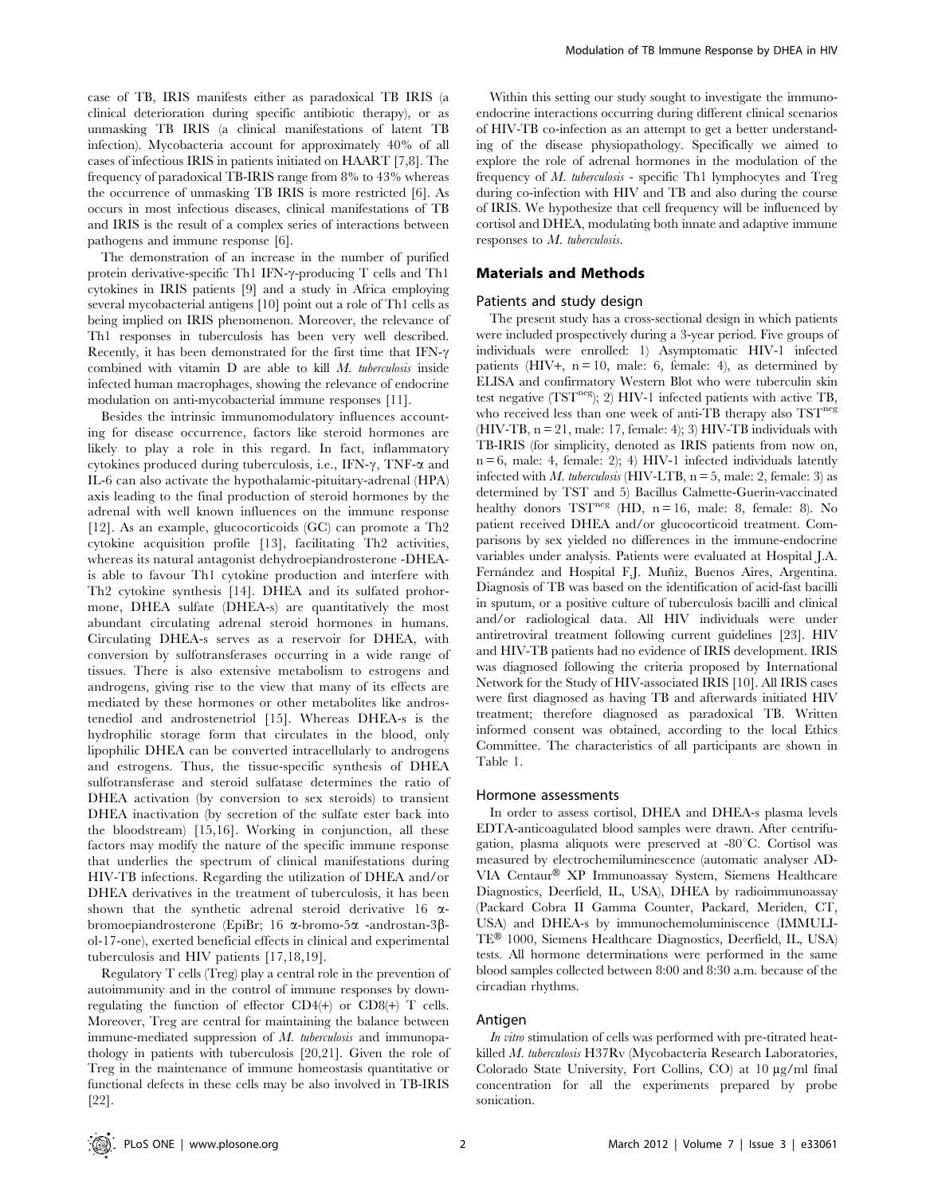case of TB, IRIS manifests either as paradoxical TB IRIS (a clinical deterioration during specific antibiotic therapy), or as unmasking TB IRIS (a clinical manifestations of latent TB infection). Mycobacteria account for approximately 40% of all cases of infectious IRIS in patients initiated on HAART [7,8]. The frequency of paradoxical TB-IRIS range from 8% to 43% whereas the occurrence of unmasking TB IRIS is more restricted [6]. As occurs in most infectious diseases, clinical manifestations of TB and IRIS is the result of a complex series of interactions between pathogens and immune response [6].

The demonstration of an increase in the number of purified protein derivative-specific Th1 IFN- $\gamma$ -producing T cells and Th1 cytokines in IRIS patients [9] and a study in Africa employing several mycobacterial antigens [10] point out a role of Th1 cells as being implied on IRIS phenomenon. Moreover, the relevance of Th1 responses in tuberculosis has been very well described. Recently, it has been demonstrated for the first time that IFN- $\gamma$ combined with vitamin  $D$  are able to kill  $M$ . tuberculosis inside infected human macrophages, showing the relevance of endocrine modulation on anti-mycobacterial immune responses [11].

Besides the intrinsic immunomodulatory influences accounting for disease occurrence, factors like steroid hormones are likely to play a role in this regard. In fact, inflammatory cytokines produced during tuberculosis, i.e., IFN- $\gamma$ , TNF- $\alpha$  and IL-6 can also activate the hypothalamic-pituitary-adrenal (HPA) axis leading to the final production of steroid hormones by the adrenal with well known influences on the immune response [12]. As an example, glucocorticoids (GC) can promote a Th2 cytokine acquisition profile [13], facilitating Th2 activities, whereas its natural antagonist dehydroepiandrosterone -DHEAis able to favour Th1 cytokine production and interfere with Th2 cytokine synthesis [14]. DHEA and its sulfated prohormone, DHEA sulfate (DHEA-s) are quantitatively the most abundant circulating adrenal steroid hormones in humans. Circulating DHEA-s serves as a reservoir for DHEA, with conversion by sulfotransferases occurring in a wide range of tissues. There is also extensive metabolism to estrogens and androgens, giving rise to the view that many of its effects are mediated by these hormones or other metabolites like androstenediol and androstenetriol [15]. Whereas DHEA-s is the hydrophilic storage form that circulates in the blood, only lipophilic DHEA can be converted intracellularly to androgens and estrogens. Thus, the tissue-specific synthesis of DHEA sulfotransferase and steroid sulfatase determines the ratio of DHEA activation (by conversion to sex steroids) to transient DHEA inactivation (by secretion of the sulfate ester back into the bloodstream) [15,16]. Working in conjunction, all these factors may modify the nature of the specific immune response that underlies the spectrum of clinical manifestations during HIV-TB infections. Regarding the utilization of DHEA and/or DHEA derivatives in the treatment of tuberculosis, it has been shown that the synthetic adrenal steroid derivative 16  $\alpha$ bromoepiandrosterone (EpiBr; 16  $\alpha$ -bromo-5 $\alpha$  -androstan-3 $\beta$ ol-17-one), exerted beneficial effects in clinical and experimental tuberculosis and HIV patients [17,18,19].

Regulatory T cells (Treg) play a central role in the prevention of autoimmunity and in the control of immune responses by downregulating the function of effector CD4(+) or CD8(+) T cells. Moreover, Treg are central for maintaining the balance between immune-mediated suppression of M. tuberculosis and immunopathology in patients with tuberculosis [20,21]. Given the role of Treg in the maintenance of immune homeostasis quantitative or functional defects in these cells may be also involved in TB-IRIS [22].

Within this setting our study sought to investigate the immunoendocrine interactions occurring during different clinical scenarios of HIV-TB co-infection as an attempt to get a better understanding of the disease physiopathology. Specifically we aimed to explore the role of adrenal hormones in the modulation of the frequency of M. tuberculosis - specific Th1 lymphocytes and Treg during co-infection with HIV and TB and also during the course of IRIS. We hypothesize that cell frequency will be influenced by cortisol and DHEA, modulating both innate and adaptive immune responses to M. tuberculosis.

#### Materials and Methods

#### Patients and study design

The present study has a cross-sectional design in which patients were included prospectively during a 3-year period. Five groups of individuals were enrolled: 1) Asymptomatic HIV-1 infected patients (HIV+,  $n = 10$ , male: 6, female: 4), as determined by ELISA and confirmatory Western Blot who were tuberculin skin test negative  $(TST<sup>neg</sup>)$ ; 2) HIV-1 infected patients with active TB, who received less than one week of anti-TB therapy also TST<sup>neg</sup> (HIV-TB,  $n = 21$ , male: 17, female: 4); 3) HIV-TB individuals with TB-IRIS (for simplicity, denoted as IRIS patients from now on,  $n = 6$ , male: 4, female: 2); 4) HIV-1 infected individuals latently infected with M. tuberculosis (HIV-LTB,  $n = 5$ , male: 2, female: 3) as determined by TST and 5) Bacillus Calmette-Guerin-vaccinated healthy donors  $TST^{neg}$  (HD, n = 16, male: 8, female: 8). No patient received DHEA and/or glucocorticoid treatment. Comparisons by sex yielded no differences in the immune-endocrine variables under analysis. Patients were evaluated at Hospital J.A. Fernández and Hospital F.J. Muñiz, Buenos Aires, Argentina. Diagnosis of TB was based on the identification of acid-fast bacilli in sputum, or a positive culture of tuberculosis bacilli and clinical and/or radiological data. All HIV individuals were under antiretroviral treatment following current guidelines [23]. HIV and HIV-TB patients had no evidence of IRIS development. IRIS was diagnosed following the criteria proposed by International Network for the Study of HIV-associated IRIS [10]. All IRIS cases were first diagnosed as having TB and afterwards initiated HIV treatment; therefore diagnosed as paradoxical TB. Written informed consent was obtained, according to the local Ethics Committee. The characteristics of all participants are shown in Table 1.

#### Hormone assessments

In order to assess cortisol, DHEA and DHEA-s plasma levels EDTA-anticoagulated blood samples were drawn. After centrifugation, plasma aliquots were preserved at  $-80^{\circ}$ C. Cortisol was measured by electrochemiluminescence (automatic analyser AD-VIA Centaur® XP Immunoassay System, Siemens Healthcare Diagnostics, Deerfield, IL, USA), DHEA by radioimmunoassay (Packard Cobra II Gamma Counter, Packard, Meriden, CT, USA) and DHEA-s by immunochemoluminiscence (IMMULI-TE® 1000, Siemens Healthcare Diagnostics, Deerfield, IL, USA) tests. All hormone determinations were performed in the same blood samples collected between 8:00 and 8:30 a.m. because of the circadian rhythms.

#### Antigen

In vitro stimulation of cells was performed with pre-titrated heatkilled M. tuberculosis H37Rv (Mycobacteria Research Laboratories, Colorado State University, Fort Collins, CO) at 10 mg/ml final concentration for all the experiments prepared by probe sonication.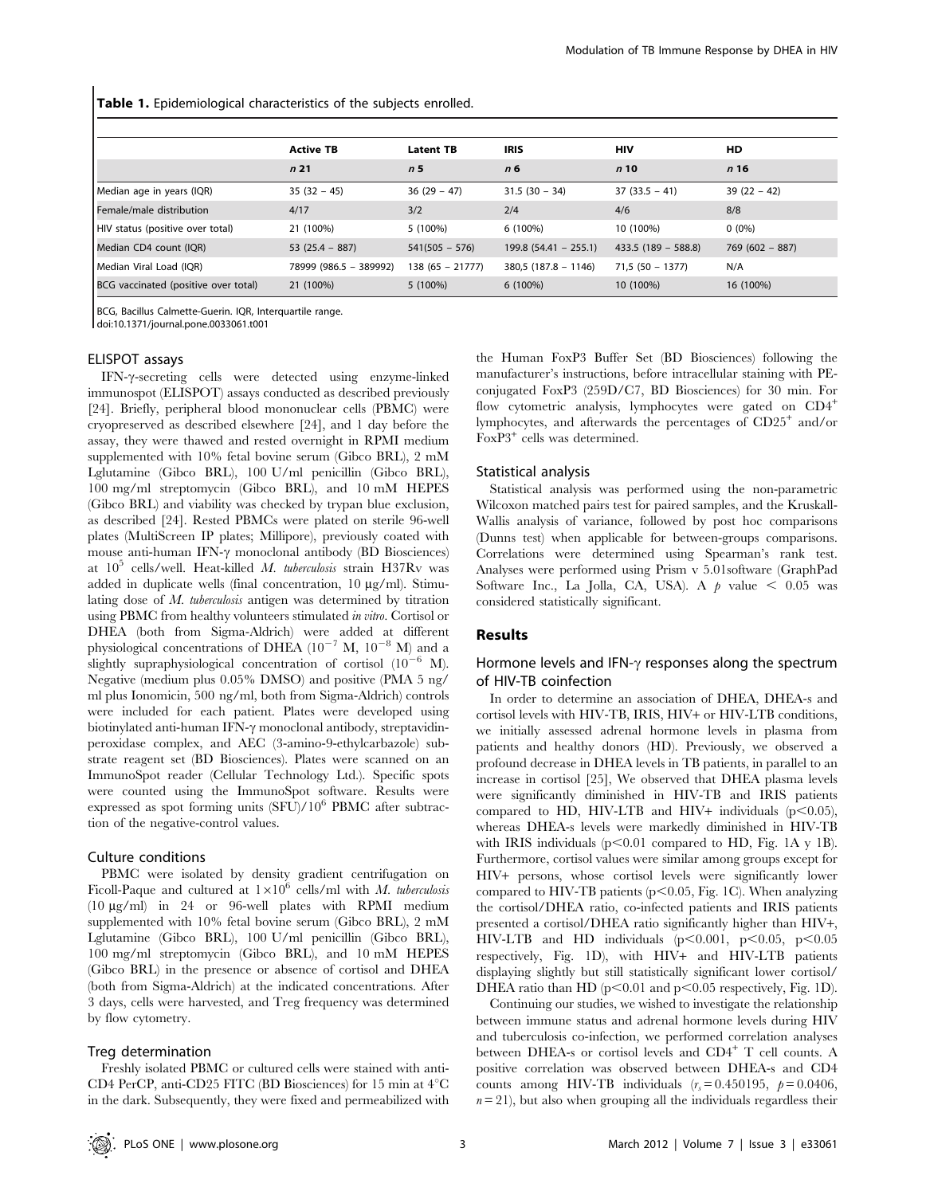Table 1. Epidemiological characteristics of the subjects enrolled.

|                                      | <b>Active TB</b>       | <b>Latent TB</b>  | <b>IRIS</b>             | <b>HIV</b>           | HD               |
|--------------------------------------|------------------------|-------------------|-------------------------|----------------------|------------------|
|                                      | n <sub>21</sub>        | n 5               | n 6                     | n10                  | n16              |
| Median age in years (IQR)            | $35(32 - 45)$          | $36(29 - 47)$     | $31.5(30 - 34)$         | $37(33.5 - 41)$      | $39(22 - 42)$    |
| Female/male distribution             | 4/17                   | 3/2               | 2/4                     | 4/6                  | 8/8              |
| HIV status (positive over total)     | 21 (100%)              | 5 (100%)          | 6 (100%)                | 10 (100%)            | $0(0\%)$         |
| Median CD4 count (IQR)               | $53(25.4 - 887)$       | $541(505 - 576)$  | $199.8$ (54.41 - 255.1) | $433.5(189 - 588.8)$ | $769(602 - 887)$ |
| Median Viral Load (IQR)              | 78999 (986.5 - 389992) | $138(65 - 21777)$ | $380,5(187.8 - 1146)$   | $71,5(50 - 1377)$    | N/A              |
| BCG vaccinated (positive over total) | 21 (100%)              | 5 (100%)          | $6(100\%)$              | 10 (100%)            | 16 (100%)        |

BCG, Bacillus Calmette-Guerin. IQR, Interquartile range.

doi:10.1371/journal.pone.0033061.t001

## ELISPOT assays

IFN-γ-secreting cells were detected using enzyme-linked immunospot (ELISPOT) assays conducted as described previously [24]. Briefly, peripheral blood mononuclear cells (PBMC) were cryopreserved as described elsewhere [24], and 1 day before the assay, they were thawed and rested overnight in RPMI medium supplemented with 10% fetal bovine serum (Gibco BRL), 2 mM Lglutamine (Gibco BRL), 100 U/ml penicillin (Gibco BRL), 100 mg/ml streptomycin (Gibco BRL), and 10 mM HEPES (Gibco BRL) and viability was checked by trypan blue exclusion, as described [24]. Rested PBMCs were plated on sterile 96-well plates (MultiScreen IP plates; Millipore), previously coated with mouse anti-human IFN- $\gamma$  monoclonal antibody (BD Biosciences) at  $10^5$  cells/well. Heat-killed M. tuberculosis strain H37Rv was added in duplicate wells (final concentration,  $10 \mu g/ml$ ). Stimulating dose of M. tuberculosis antigen was determined by titration using PBMC from healthy volunteers stimulated in vitro. Cortisol or DHEA (both from Sigma-Aldrich) were added at different physiological concentrations of DHEA  $(10^{-7}$  M,  $10^{-8}$  M) and a slightly supraphysiological concentration of cortisol  $(10^{-6}$  M). Negative (medium plus 0.05% DMSO) and positive (PMA 5 ng/ ml plus Ionomicin, 500 ng/ml, both from Sigma-Aldrich) controls were included for each patient. Plates were developed using biotinylated anti-human IFN- $\gamma$  monoclonal antibody, streptavidinperoxidase complex, and AEC (3-amino-9-ethylcarbazole) substrate reagent set (BD Biosciences). Plates were scanned on an ImmunoSpot reader (Cellular Technology Ltd.). Specific spots were counted using the ImmunoSpot software. Results were expressed as spot forming units  $(SFU)/10^6$  PBMC after subtraction of the negative-control values.

#### Culture conditions

PBMC were isolated by density gradient centrifugation on Ficoll-Paque and cultured at  $1\times10^6$  cells/ml with M. tuberculosis (10 mg/ml) in 24 or 96-well plates with RPMI medium supplemented with 10% fetal bovine serum (Gibco BRL), 2 mM Lglutamine (Gibco BRL), 100 U/ml penicillin (Gibco BRL), 100 mg/ml streptomycin (Gibco BRL), and 10 mM HEPES (Gibco BRL) in the presence or absence of cortisol and DHEA (both from Sigma-Aldrich) at the indicated concentrations. After 3 days, cells were harvested, and Treg frequency was determined by flow cytometry.

#### Treg determination

Freshly isolated PBMC or cultured cells were stained with anti-CD4 PerCP, anti-CD25 FITC (BD Biosciences) for 15 min at  $4^{\circ}$ C in the dark. Subsequently, they were fixed and permeabilized with

the Human FoxP3 Buffer Set (BD Biosciences) following the manufacturer's instructions, before intracellular staining with PEconjugated FoxP3 (259D/C7, BD Biosciences) for 30 min. For flow cytometric analysis, lymphocytes were gated on  $CD4^+$ lymphocytes, and afterwards the percentages of  $CD25^+$  and/or FoxP3<sup>+</sup> cells was determined.

#### Statistical analysis

Statistical analysis was performed using the non-parametric Wilcoxon matched pairs test for paired samples, and the Kruskall-Wallis analysis of variance, followed by post hoc comparisons (Dunns test) when applicable for between-groups comparisons. Correlations were determined using Spearman's rank test. Analyses were performed using Prism v 5.01software (GraphPad Software Inc., La Jolla, CA, USA). A  $p$  value  $\leq 0.05$  was considered statistically significant.

#### Results

## Hormone levels and IFN- $\gamma$  responses along the spectrum of HIV-TB coinfection

In order to determine an association of DHEA, DHEA-s and cortisol levels with HIV-TB, IRIS, HIV+ or HIV-LTB conditions, we initially assessed adrenal hormone levels in plasma from patients and healthy donors (HD). Previously, we observed a profound decrease in DHEA levels in TB patients, in parallel to an increase in cortisol [25], We observed that DHEA plasma levels were significantly diminished in HIV-TB and IRIS patients compared to HD, HIV-LTB and HIV+ individuals  $(p<0.05)$ , whereas DHEA-s levels were markedly diminished in HIV-TB with IRIS individuals  $(p<0.01$  compared to HD, Fig. 1A y 1B). Furthermore, cortisol values were similar among groups except for HIV+ persons, whose cortisol levels were significantly lower compared to HIV-TB patients ( $p<0.05$ , Fig. 1C). When analyzing the cortisol/DHEA ratio, co-infected patients and IRIS patients presented a cortisol/DHEA ratio significantly higher than HIV+, HIV-LTB and HD individuals  $(p<0.001, p<0.05, p<0.05$ respectively, Fig. 1D), with HIV+ and HIV-LTB patients displaying slightly but still statistically significant lower cortisol/ DHEA ratio than HD ( $p<0.01$  and  $p<0.05$  respectively, Fig. 1D).

Continuing our studies, we wished to investigate the relationship between immune status and adrenal hormone levels during HIV and tuberculosis co-infection, we performed correlation analyses between DHEA-s or cortisol levels and CD4<sup>+</sup> T cell counts. A positive correlation was observed between DHEA-s and CD4 counts among HIV-TB individuals  $(r<sub>s</sub>=0.450195, p=0.0406,$  $n = 21$ , but also when grouping all the individuals regardless their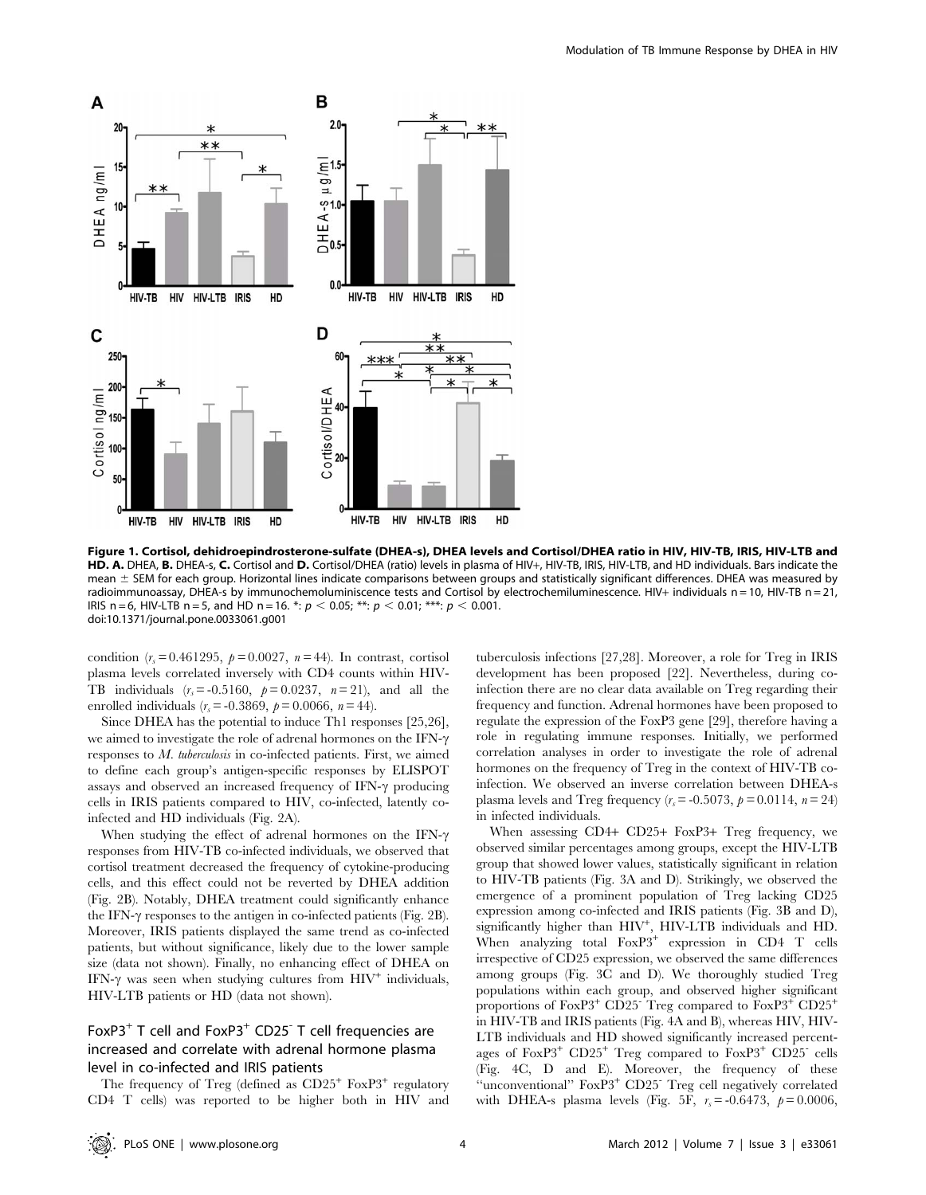

Figure 1. Cortisol, dehidroepindrosterone-sulfate (DHEA-s), DHEA levels and Cortisol/DHEA ratio in HIV, HIV-TB, IRIS, HIV-LTB and HD. A. DHEA, B. DHEA-s, C. Cortisol and D. Cortisol/DHEA (ratio) levels in plasma of HIV+, HIV-TB, IRIS, HIV-LTB, and HD individuals. Bars indicate the mean  $\pm$  SEM for each group. Horizontal lines indicate comparisons between groups and statistically significant differences. DHEA was measured by radioimmunoassay, DHEA-s by immunochemoluminiscence tests and Cortisol by electrochemiluminescence. HIV+ individuals n = 10, HIV-TB n = 21, IRIS n = 6, HIV-LTB n = 5, and HD n = 16. \*:  $p < 0.05$ ; \*\*:  $p < 0.01$ ; \*\*\*:  $p < 0.001$ . doi:10.1371/journal.pone.0033061.g001

condition  $(r<sub>s</sub>= 0.461295, p = 0.0027, n = 44)$ . In contrast, cortisol plasma levels correlated inversely with CD4 counts within HIV-TB individuals  $(r_s = -0.5160, p = 0.0237, n = 21)$ , and all the enrolled individuals ( $r_s$  = -0.3869,  $p$  = 0.0066,  $n$  = 44).

Since DHEA has the potential to induce Th1 responses [25,26], we aimed to investigate the role of adrenal hormones on the IFN- $\gamma$ responses to M. tuberculosis in co-infected patients. First, we aimed to define each group's antigen-specific responses by ELISPOT assays and observed an increased frequency of IFN- $\gamma$  producing cells in IRIS patients compared to HIV, co-infected, latently coinfected and HD individuals (Fig. 2A).

When studying the effect of adrenal hormones on the IFN- $\gamma$ responses from HIV-TB co-infected individuals, we observed that cortisol treatment decreased the frequency of cytokine-producing cells, and this effect could not be reverted by DHEA addition (Fig. 2B). Notably, DHEA treatment could significantly enhance the IFN- $\gamma$  responses to the antigen in co-infected patients (Fig. 2B). Moreover, IRIS patients displayed the same trend as co-infected patients, but without significance, likely due to the lower sample size (data not shown). Finally, no enhancing effect of DHEA on IFN- $\gamma$  was seen when studying cultures from  $HIV^+$  individuals, HIV-LTB patients or HD (data not shown).

## FoxP3<sup>+</sup> T cell and FoxP3<sup>+</sup> CD25<sup>-</sup> T cell frequencies are increased and correlate with adrenal hormone plasma level in co-infected and IRIS patients

The frequency of Treg (defined as  $CD25^+$  FoxP3<sup>+</sup> regulatory CD4 T cells) was reported to be higher both in HIV and tuberculosis infections [27,28]. Moreover, a role for Treg in IRIS development has been proposed [22]. Nevertheless, during coinfection there are no clear data available on Treg regarding their frequency and function. Adrenal hormones have been proposed to regulate the expression of the FoxP3 gene [29], therefore having a role in regulating immune responses. Initially, we performed correlation analyses in order to investigate the role of adrenal hormones on the frequency of Treg in the context of HIV-TB coinfection. We observed an inverse correlation between DHEA-s plasma levels and Treg frequency  $(r<sub>s</sub>=-0.5073, p=0.0114, n=24)$ in infected individuals.

When assessing CD4+ CD25+ FoxP3+ Treg frequency, we observed similar percentages among groups, except the HIV-LTB group that showed lower values, statistically significant in relation to HIV-TB patients (Fig. 3A and D). Strikingly, we observed the emergence of a prominent population of Treg lacking CD25 expression among co-infected and IRIS patients (Fig. 3B and D), significantly higher than HIV<sup>+</sup>, HIV-LTB individuals and HD. When analyzing total  $FoxP3^+$  expression in CD4 T cells irrespective of CD25 expression, we observed the same differences among groups (Fig. 3C and D). We thoroughly studied Treg populations within each group, and observed higher significant proportions of  $FoxP3^+$  CD25<sup>-</sup> Treg compared to  $FoxP3^+$  CD25<sup>+</sup> in HIV-TB and IRIS patients (Fig. 4A and B), whereas HIV, HIV-LTB individuals and HD showed significantly increased percentages of FoxP3<sup>+</sup> CD25<sup>+</sup> Treg compared to FoxP3<sup>+</sup> CD25- cells (Fig. 4C, D and E). Moreover, the frequency of these ''unconventional'' FoxP3<sup>+</sup> CD25- Treg cell negatively correlated with DHEA-s plasma levels (Fig. 5F,  $r_s = -0.6473$ ,  $p = 0.0006$ ,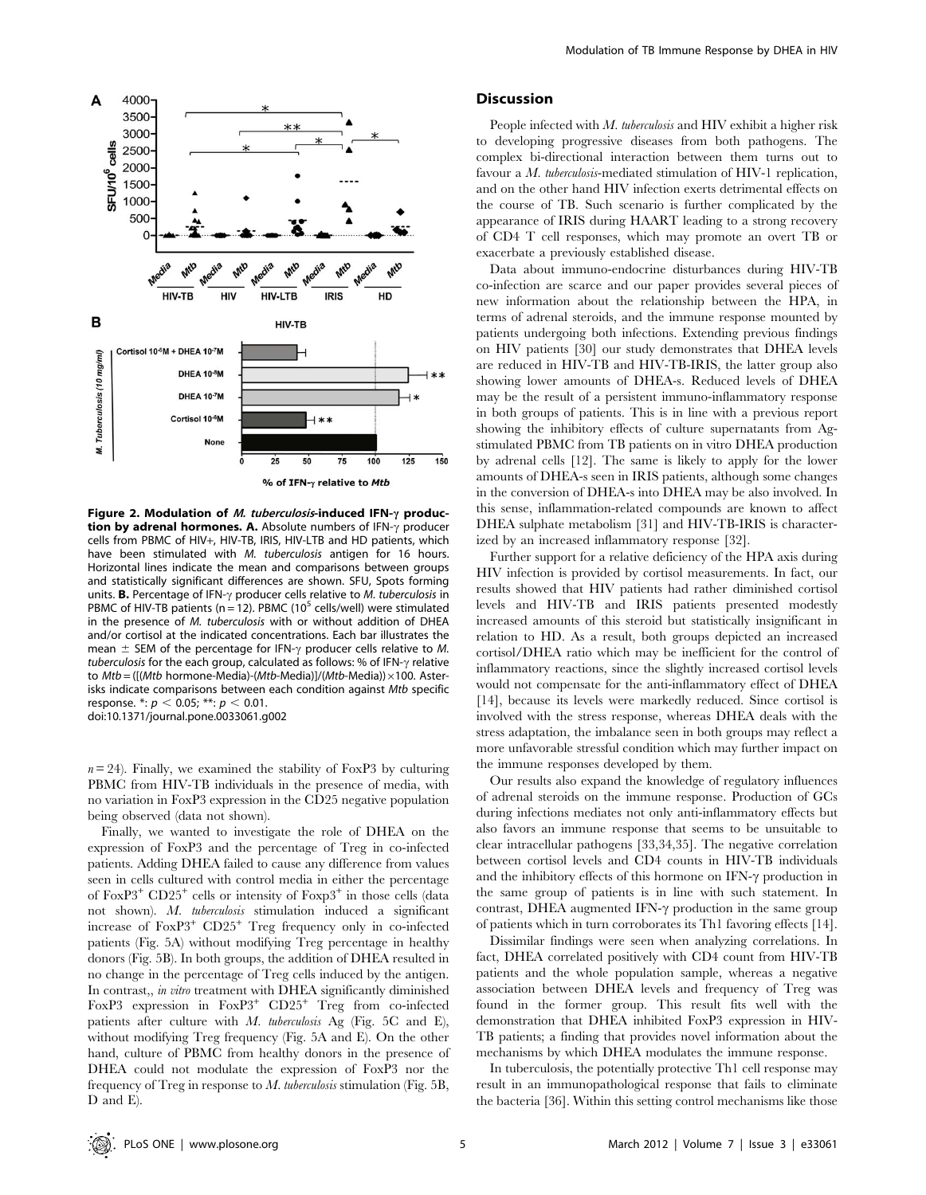

Figure 2. Modulation of *M. tuberculosis*-induced IFN- $\gamma$  produc**tion by adrenal hormones. A.** Absolute numbers of  $IFN-\gamma$  producer cells from PBMC of HIV+, HIV-TB, IRIS, HIV-LTB and HD patients, which have been stimulated with M. tuberculosis antigen for 16 hours. Horizontal lines indicate the mean and comparisons between groups and statistically significant differences are shown. SFU, Spots forming units. **B.** Percentage of IFN- $\gamma$  producer cells relative to *M. tuberculosis* in PBMC of HIV-TB patients ( $n = 12$ ). PBMC (10<sup>5</sup> cells/well) were stimulated in the presence of M. tuberculosis with or without addition of DHEA and/or cortisol at the indicated concentrations. Each bar illustrates the mean  $\pm$  SEM of the percentage for IFN- $\gamma$  producer cells relative to M. tuberculosis for the each group, calculated as follows: % of IFN- $\gamma$  relative to  $Mtb = ([(Mtb \text{ hormone-Media})-(Mtb\text{-Media})]/(Mtb\text{-Media}))\times100.$  Asterisks indicate comparisons between each condition against Mtb specific response.  $\ast: p < 0.05$ ;  $\ast\ast: p < 0.01$ . doi:10.1371/journal.pone.0033061.g002

 $n = 24$ ). Finally, we examined the stability of FoxP3 by culturing PBMC from HIV-TB individuals in the presence of media, with no variation in FoxP3 expression in the CD25 negative population being observed (data not shown).

Finally, we wanted to investigate the role of DHEA on the expression of FoxP3 and the percentage of Treg in co-infected patients. Adding DHEA failed to cause any difference from values seen in cells cultured with control media in either the percentage of  $FoxP3^+$  CD25<sup>+</sup> cells or intensity of  $FoxP3^+$  in those cells (data not shown). M. tuberculosis stimulation induced a significant increase of FoxP3<sup>+</sup> CD25<sup>+</sup> Treg frequency only in co-infected patients (Fig. 5A) without modifying Treg percentage in healthy donors (Fig. 5B). In both groups, the addition of DHEA resulted in no change in the percentage of Treg cells induced by the antigen. In contrast,, in vitro treatment with DHEA significantly diminished FoxP3 expression in FoxP3<sup>+</sup> CD25<sup>+</sup> Treg from co-infected patients after culture with  $M$ . tuberculosis Ag (Fig. 5C and E), without modifying Treg frequency (Fig. 5A and E). On the other hand, culture of PBMC from healthy donors in the presence of DHEA could not modulate the expression of FoxP3 nor the frequency of Treg in response to  $M$ . tuberculosis stimulation (Fig. 5B, D and E).

## **Discussion**

People infected with M. tuberculosis and HIV exhibit a higher risk to developing progressive diseases from both pathogens. The complex bi-directional interaction between them turns out to favour a *M. tuberculosis*-mediated stimulation of HIV-1 replication, and on the other hand HIV infection exerts detrimental effects on the course of TB. Such scenario is further complicated by the appearance of IRIS during HAART leading to a strong recovery of CD4 T cell responses, which may promote an overt TB or exacerbate a previously established disease.

Data about immuno-endocrine disturbances during HIV-TB co-infection are scarce and our paper provides several pieces of new information about the relationship between the HPA, in terms of adrenal steroids, and the immune response mounted by patients undergoing both infections. Extending previous findings on HIV patients [30] our study demonstrates that DHEA levels are reduced in HIV-TB and HIV-TB-IRIS, the latter group also showing lower amounts of DHEA-s. Reduced levels of DHEA may be the result of a persistent immuno-inflammatory response in both groups of patients. This is in line with a previous report showing the inhibitory effects of culture supernatants from Agstimulated PBMC from TB patients on in vitro DHEA production by adrenal cells [12]. The same is likely to apply for the lower amounts of DHEA-s seen in IRIS patients, although some changes in the conversion of DHEA-s into DHEA may be also involved. In this sense, inflammation-related compounds are known to affect DHEA sulphate metabolism [31] and HIV-TB-IRIS is characterized by an increased inflammatory response [32].

Further support for a relative deficiency of the HPA axis during HIV infection is provided by cortisol measurements. In fact, our results showed that HIV patients had rather diminished cortisol levels and HIV-TB and IRIS patients presented modestly increased amounts of this steroid but statistically insignificant in relation to HD. As a result, both groups depicted an increased cortisol/DHEA ratio which may be inefficient for the control of inflammatory reactions, since the slightly increased cortisol levels would not compensate for the anti-inflammatory effect of DHEA [14], because its levels were markedly reduced. Since cortisol is involved with the stress response, whereas DHEA deals with the stress adaptation, the imbalance seen in both groups may reflect a more unfavorable stressful condition which may further impact on the immune responses developed by them.

Our results also expand the knowledge of regulatory influences of adrenal steroids on the immune response. Production of GCs during infections mediates not only anti-inflammatory effects but also favors an immune response that seems to be unsuitable to clear intracellular pathogens [33,34,35]. The negative correlation between cortisol levels and CD4 counts in HIV-TB individuals and the inhibitory effects of this hormone on IFN- $\gamma$  production in the same group of patients is in line with such statement. In contrast, DHEA augmented IFN- $\gamma$  production in the same group of patients which in turn corroborates its Th1 favoring effects [14].

Dissimilar findings were seen when analyzing correlations. In fact, DHEA correlated positively with CD4 count from HIV-TB patients and the whole population sample, whereas a negative association between DHEA levels and frequency of Treg was found in the former group. This result fits well with the demonstration that DHEA inhibited FoxP3 expression in HIV-TB patients; a finding that provides novel information about the mechanisms by which DHEA modulates the immune response.

In tuberculosis, the potentially protective Th1 cell response may result in an immunopathological response that fails to eliminate the bacteria [36]. Within this setting control mechanisms like those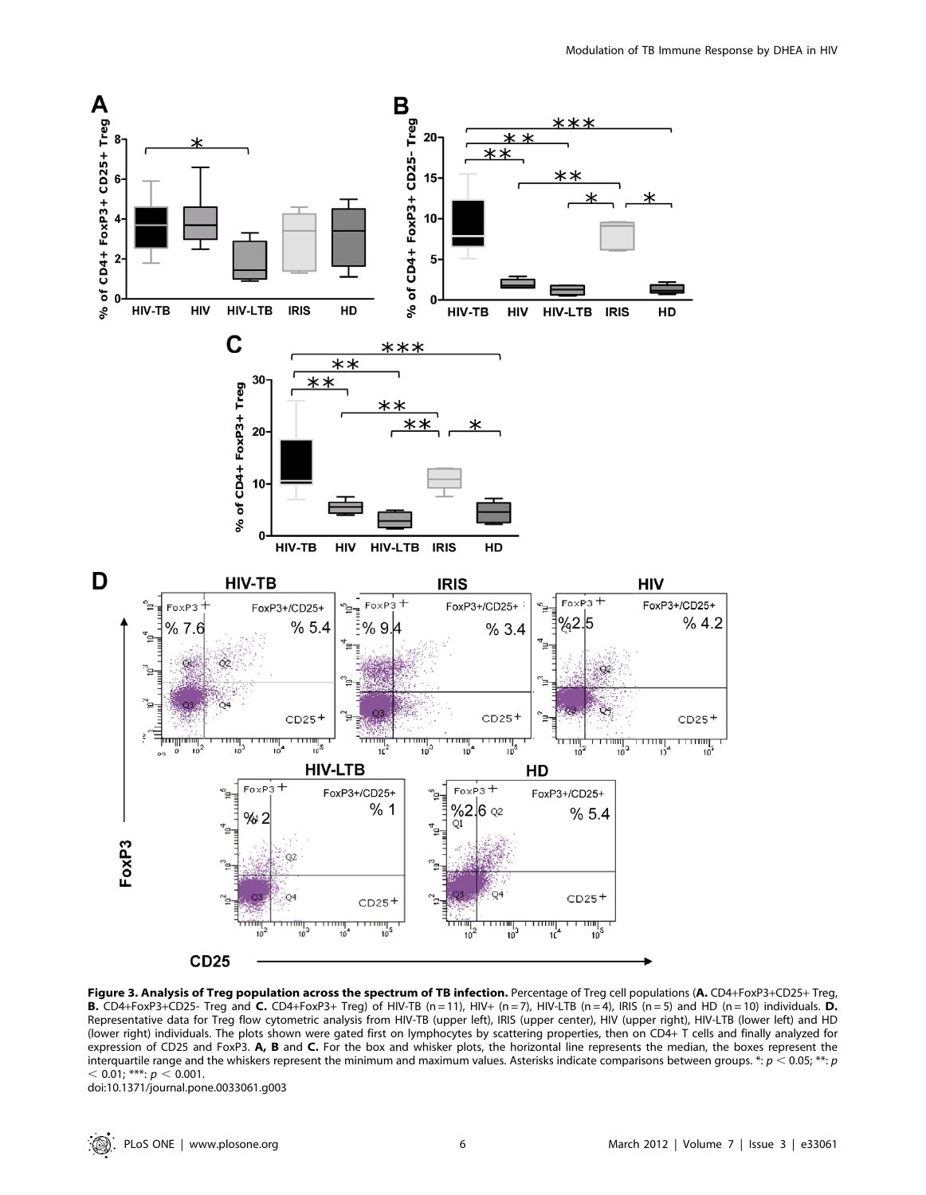

Figure 3. Analysis of Treg population across the spectrum of TB infection. Percentage of Treg cell populations (A. CD4+FoxP3+CD25+ Treg, **B.** CD4+FoxP3+CD25- Treg and **C.** CD4+FoxP3+ Treg) of HIV-TB (n = 11), HIV+ (n = 7), HIV-LTB (n = 4), IRIS (n = 5) and HD (n = 10) individuals. D. Representative data for Treg flow cytometric analysis from HIV-TB (upper left), IRIS (upper center), HIV (upper right), HIV-LTB (lower left) and HD (lower right) individuals. The plots shown were gated first on lymphocytes by scattering properties, then on CD4+ T cells and finally analyzed for expression of CD25 and FoxP3. A, B and C. For the box and whisker plots, the horizontal line represents the median, the boxes represent the interquartile range and the whiskers represent the minimum and maximum values. Asterisks indicate comparisons between groups. \*:  $p < 0.05$ ; \*\*: p  $<$  0.01; \*\*\*:  $p < 0.001$ .

doi:10.1371/journal.pone.0033061.g003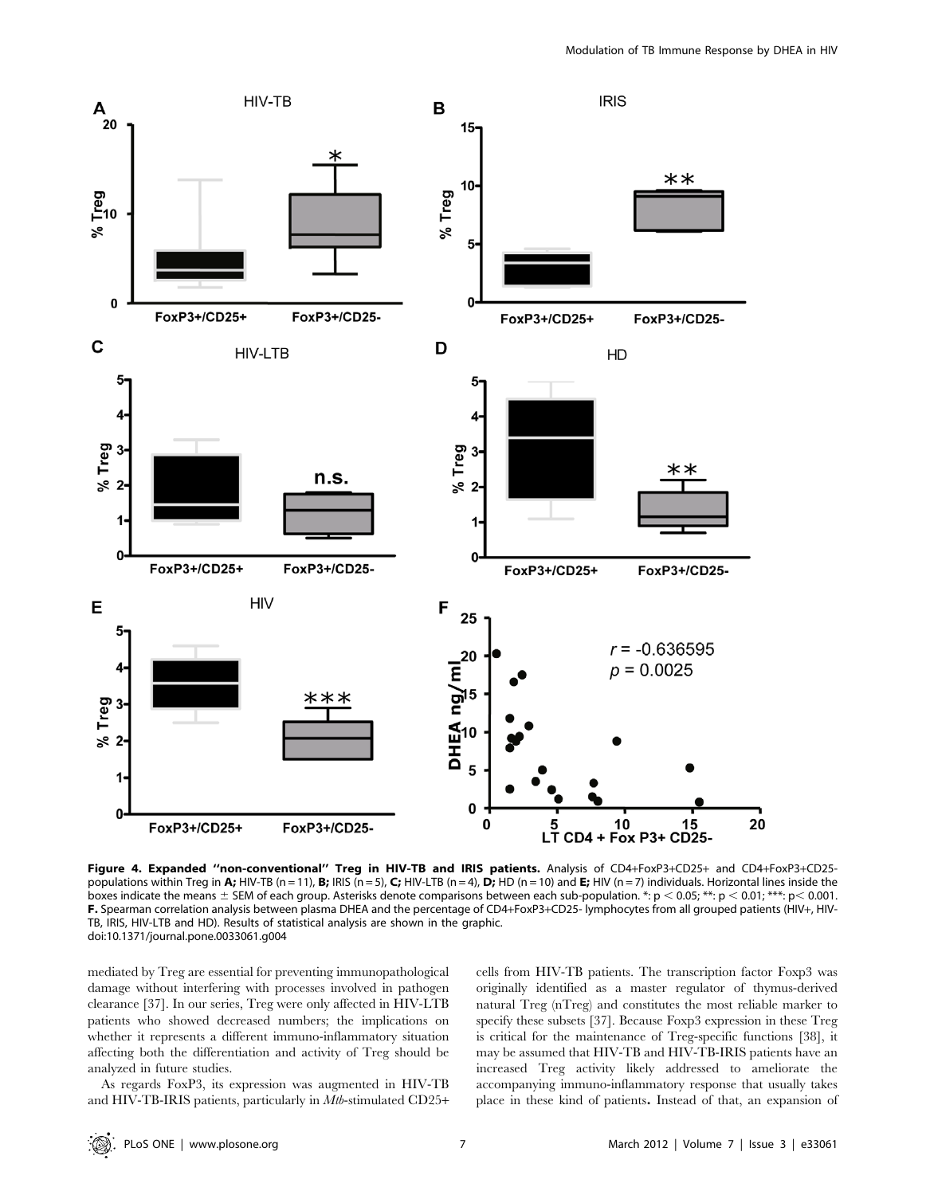

Figure 4. Expanded ''non-conventional'' Treg in HIV-TB and IRIS patients. Analysis of CD4+FoxP3+CD25+ and CD4+FoxP3+CD25 populations within Treg in A; HIV-TB (n = 1), B; IRIS (n = 5), C; HIV-LTB (n = 4), D; HD (n = 10) and E; HIV (n = 7) individuals. Horizontal lines inside the boxes indicate the means  $\pm$  SEM of each group. Asterisks denote comparisons between each sub-population. \*:  $p < 0.05$ ; \*\*:  $p < 0.01$ ; \*\*\*:  $p < 0.001$ . F. Spearman correlation analysis between plasma DHEA and the percentage of CD4+FoxP3+CD25- lymphocytes from all grouped patients (HIV+, HIV-TB, IRIS, HIV-LTB and HD). Results of statistical analysis are shown in the graphic. doi:10.1371/journal.pone.0033061.g004

mediated by Treg are essential for preventing immunopathological damage without interfering with processes involved in pathogen clearance [37]. In our series, Treg were only affected in HIV-LTB patients who showed decreased numbers; the implications on whether it represents a different immuno-inflammatory situation affecting both the differentiation and activity of Treg should be analyzed in future studies.

As regards FoxP3, its expression was augmented in HIV-TB and HIV-TB-IRIS patients, particularly in Mtb-stimulated CD25+

cells from HIV-TB patients. The transcription factor Foxp3 was originally identified as a master regulator of thymus-derived natural Treg (nTreg) and constitutes the most reliable marker to specify these subsets [37]. Because Foxp3 expression in these Treg is critical for the maintenance of Treg-specific functions [38], it may be assumed that HIV-TB and HIV-TB-IRIS patients have an increased Treg activity likely addressed to ameliorate the accompanying immuno-inflammatory response that usually takes place in these kind of patients. Instead of that, an expansion of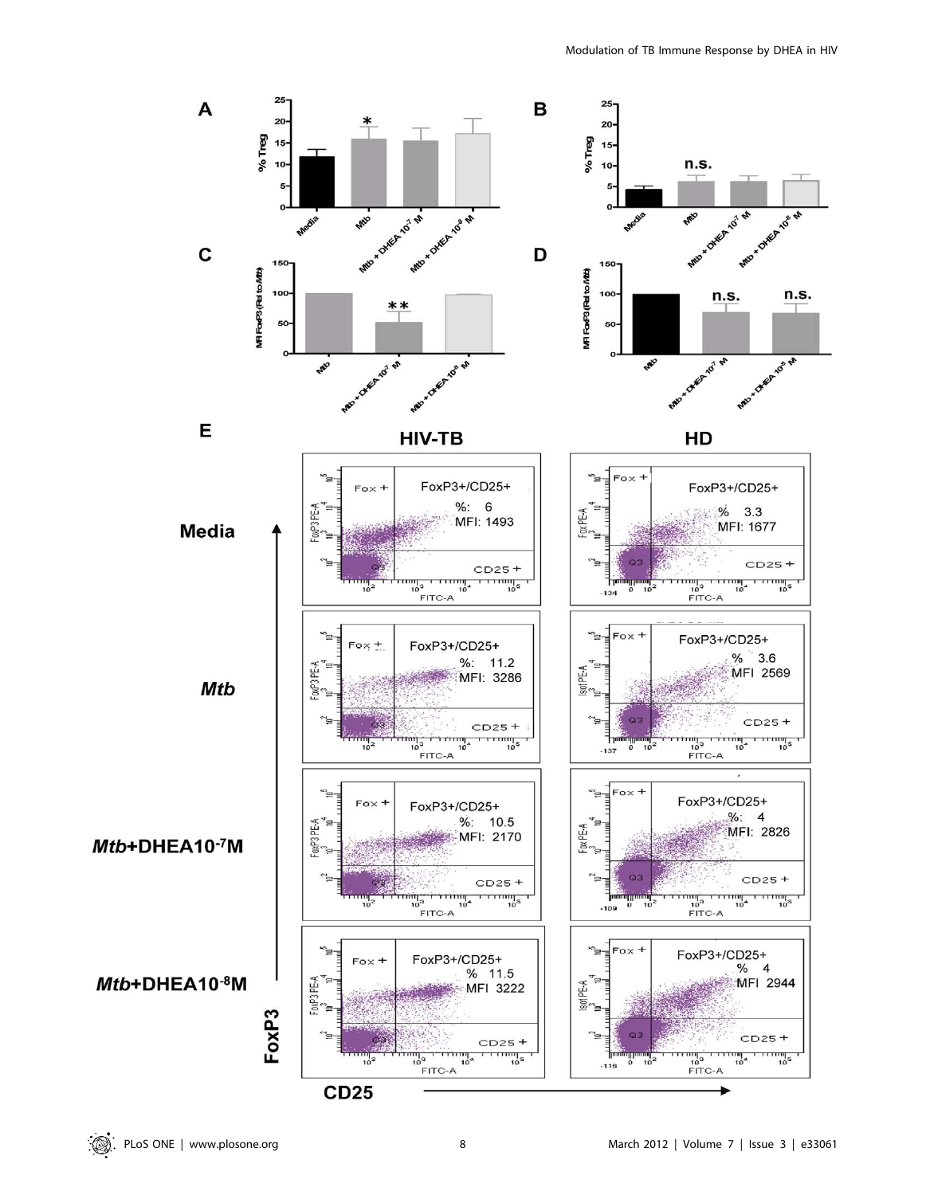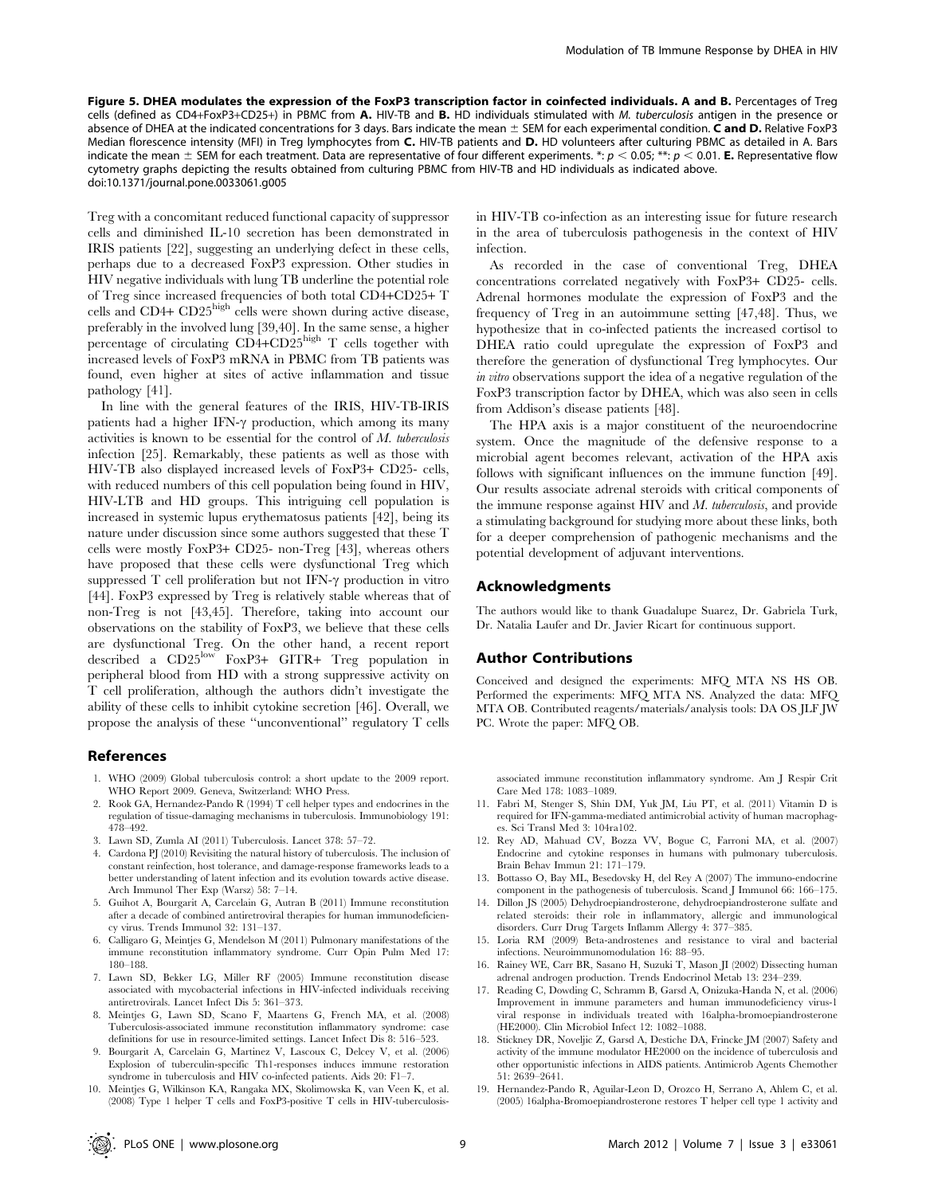Figure 5. DHEA modulates the expression of the FoxP3 transcription factor in coinfected individuals. A and B. Percentages of Treg cells (defined as CD4+FoxP3+CD25+) in PBMC from A. HIV-TB and B. HD individuals stimulated with M. tuberculosis antigen in the presence or absence of DHEA at the indicated concentrations for 3 days. Bars indicate the mean  $\pm$  SEM for each experimental condition. C and D. Relative FoxP3 Median florescence intensity (MFI) in Treg lymphocytes from C. HIV-TB patients and D. HD volunteers after culturing PBMC as detailed in A. Bars indicate the mean  $\pm$  SEM for each treatment. Data are representative of four different experiments. \*:  $p < 0.05$ ; \*\*:  $p < 0.01$ . E. Representative flow cytometry graphs depicting the results obtained from culturing PBMC from HIV-TB and HD individuals as indicated above. doi:10.1371/journal.pone.0033061.g005

Treg with a concomitant reduced functional capacity of suppressor cells and diminished IL-10 secretion has been demonstrated in IRIS patients [22], suggesting an underlying defect in these cells, perhaps due to a decreased FoxP3 expression. Other studies in HIV negative individuals with lung TB underline the potential role of Treg since increased frequencies of both total CD4+CD25+ T cells and CD4+ CD25high cells were shown during active disease, preferably in the involved lung [39,40]. In the same sense, a higher percentage of circulating CD4+CD25high T cells together with increased levels of FoxP3 mRNA in PBMC from TB patients was found, even higher at sites of active inflammation and tissue pathology [41].

In line with the general features of the IRIS, HIV-TB-IRIS patients had a higher IFN- $\gamma$  production, which among its many activities is known to be essential for the control of M. tuberculosis infection [25]. Remarkably, these patients as well as those with HIV-TB also displayed increased levels of FoxP3+ CD25- cells, with reduced numbers of this cell population being found in HIV, HIV-LTB and HD groups. This intriguing cell population is increased in systemic lupus erythematosus patients [42], being its nature under discussion since some authors suggested that these T cells were mostly FoxP3+ CD25- non-Treg [43], whereas others have proposed that these cells were dysfunctional Treg which suppressed  $T$  cell proliferation but not IFN- $\gamma$  production in vitro [44]. FoxP3 expressed by Treg is relatively stable whereas that of non-Treg is not [43,45]. Therefore, taking into account our observations on the stability of FoxP3, we believe that these cells are dysfunctional Treg. On the other hand, a recent report described a CD25low FoxP3+ GITR+ Treg population in peripheral blood from HD with a strong suppressive activity on T cell proliferation, although the authors didn't investigate the ability of these cells to inhibit cytokine secretion [46]. Overall, we propose the analysis of these ''unconventional'' regulatory T cells

#### References

- 1. WHO (2009) Global tuberculosis control: a short update to the 2009 report. WHO Report 2009. Geneva, Switzerland: WHO Press.
- 2. Rook GA, Hernandez-Pando R (1994) T cell helper types and endocrines in the regulation of tissue-damaging mechanisms in tuberculosis. Immunobiology 191: 478–492.
- 3. Lawn SD, Zumla AI (2011) Tuberculosis. Lancet 378: 57–72.
- 4. Cardona PJ (2010) Revisiting the natural history of tuberculosis. The inclusion of constant reinfection, host tolerance, and damage-response frameworks leads to a better understanding of latent infection and its evolution towards active disease. Arch Immunol Ther Exp (Warsz) 58: 7–14.
- 5. Guihot A, Bourgarit A, Carcelain G, Autran B (2011) Immune reconstitution after a decade of combined antiretroviral therapies for human immunodeficiency virus. Trends Immunol 32: 131–137.
- 6. Calligaro G, Meintjes G, Mendelson M (2011) Pulmonary manifestations of the immune reconstitution inflammatory syndrome. Curr Opin Pulm Med 17: 180–188.
- 7. Lawn SD, Bekker LG, Miller RF (2005) Immune reconstitution disease associated with mycobacterial infections in HIV-infected individuals receiving antiretrovirals. Lancet Infect Dis 5: 361–373.
- 8. Meintjes G, Lawn SD, Scano F, Maartens G, French MA, et al. (2008) Tuberculosis-associated immune reconstitution inflammatory syndrome: case definitions for use in resource-limited settings. Lancet Infect Dis 8: 516–523.
- 9. Bourgarit A, Carcelain G, Martinez V, Lascoux C, Delcey V, et al. (2006) Explosion of tuberculin-specific Th1-responses induces immune restoration syndrome in tuberculosis and HIV co-infected patients. Aids 20: F1-7.
- 10. Meintjes G, Wilkinson KA, Rangaka MX, Skolimowska K, van Veen K, et al. (2008) Type 1 helper T cells and FoxP3-positive T cells in HIV-tuberculosis-

in HIV-TB co-infection as an interesting issue for future research in the area of tuberculosis pathogenesis in the context of HIV infection.

As recorded in the case of conventional Treg, DHEA concentrations correlated negatively with FoxP3+ CD25- cells. Adrenal hormones modulate the expression of FoxP3 and the frequency of Treg in an autoimmune setting [47,48]. Thus, we hypothesize that in co-infected patients the increased cortisol to DHEA ratio could upregulate the expression of FoxP3 and therefore the generation of dysfunctional Treg lymphocytes. Our in vitro observations support the idea of a negative regulation of the FoxP3 transcription factor by DHEA, which was also seen in cells from Addison's disease patients [48].

The HPA axis is a major constituent of the neuroendocrine system. Once the magnitude of the defensive response to a microbial agent becomes relevant, activation of the HPA axis follows with significant influences on the immune function [49]. Our results associate adrenal steroids with critical components of the immune response against HIV and M. tuberculosis, and provide a stimulating background for studying more about these links, both for a deeper comprehension of pathogenic mechanisms and the potential development of adjuvant interventions.

#### Acknowledgments

The authors would like to thank Guadalupe Suarez, Dr. Gabriela Turk, Dr. Natalia Laufer and Dr. Javier Ricart for continuous support.

#### Author Contributions

Conceived and designed the experiments: MFQ MTA NS HS OB. Performed the experiments: MFQ MTA NS. Analyzed the data: MFQ MTA OB. Contributed reagents/materials/analysis tools: DA OS JLF JW PC. Wrote the paper: MFQ OB.

associated immune reconstitution inflammatory syndrome. Am J Respir Crit Care Med 178: 1083–1089.

- 11. Fabri M, Stenger S, Shin DM, Yuk JM, Liu PT, et al. (2011) Vitamin D is required for IFN-gamma-mediated antimicrobial activity of human macrophages. Sci Transl Med 3: 104ra102.
- 12. Rey AD, Mahuad CV, Bozza VV, Bogue C, Farroni MA, et al. (2007) Endocrine and cytokine responses in humans with pulmonary tuberculosis. Brain Behav Immun 21: 171–179.
- 13. Bottasso O, Bay ML, Besedovsky H, del Rey A (2007) The immuno-endocrine component in the pathogenesis of tuberculosis. Scand J Immunol 66: 166–175.
- 14. Dillon JS (2005) Dehydroepiandrosterone, dehydroepiandrosterone sulfate and related steroids: their role in inflammatory, allergic and immunological disorders. Curr Drug Targets Inflamm Allergy 4: 377–385.
- 15. Loria RM (2009) Beta-androstenes and resistance to viral and bacterial infections. Neuroimmunomodulation 16: 88–95.
- 16. Rainey WE, Carr BR, Sasano H, Suzuki T, Mason JI (2002) Dissecting human adrenal androgen production. Trends Endocrinol Metab 13: 234–239.
- 17. Reading C, Dowding C, Schramm B, Garsd A, Onizuka-Handa N, et al. (2006) Improvement in immune parameters and human immunodeficiency virus-1 viral response in individuals treated with 16alpha-bromoepiandrosterone (HE2000). Clin Microbiol Infect 12: 1082–1088.
- 18. Stickney DR, Noveljic Z, Garsd A, Destiche DA, Frincke JM (2007) Safety and activity of the immune modulator HE2000 on the incidence of tuberculosis and other opportunistic infections in AIDS patients. Antimicrob Agents Chemother 51: 2639–2641.
- 19. Hernandez-Pando R, Aguilar-Leon D, Orozco H, Serrano A, Ahlem C, et al. (2005) 16alpha-Bromoepiandrosterone restores T helper cell type 1 activity and